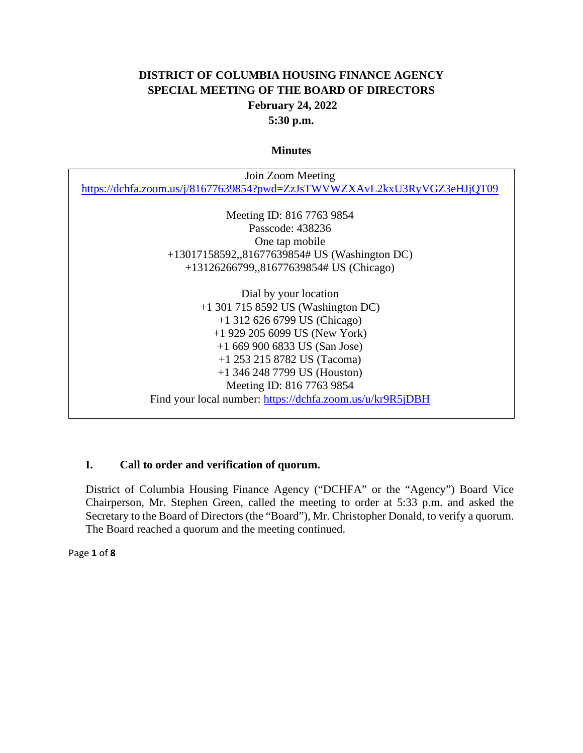# **DISTRICT OF COLUMBIA HOUSING FINANCE AGENCY SPECIAL MEETING OF THE BOARD OF DIRECTORS February 24, 2022 5:30 p.m.**

#### **Minutes**

| Join Zoom Meeting                                                        |
|--------------------------------------------------------------------------|
| https://dchfa.zoom.us/j/81677639854?pwd=ZzJsTWVWZXAvL2kxU3RyVGZ3eHJjQT09 |
|                                                                          |
| Meeting ID: 816 7763 9854                                                |
| Passcode: 438236                                                         |
| One tap mobile                                                           |
| +13017158592,,81677639854# US (Washington DC)                            |
| +13126266799,,81677639854# US (Chicago)                                  |
|                                                                          |
| Dial by your location                                                    |
| $+1$ 301 715 8592 US (Washington DC)                                     |
| $+1$ 312 626 6799 US (Chicago)                                           |
| $+1$ 929 205 6099 US (New York)                                          |
| $+16699006833$ US (San Jose)                                             |
| $+1$ 253 215 8782 US (Tacoma)                                            |
| $+1$ 346 248 7799 US (Houston)                                           |
| Meeting ID: 816 7763 9854                                                |
| Find your local number: https://dchfa.zoom.us/u/kr9R5jDBH                |

### **I. Call to order and verification of quorum.**

District of Columbia Housing Finance Agency ("DCHFA" or the "Agency") Board Vice Chairperson, Mr. Stephen Green, called the meeting to order at 5:33 p.m. and asked the Secretary to the Board of Directors (the "Board"), Mr. Christopher Donald, to verify a quorum. The Board reached a quorum and the meeting continued.

Page **1** of **8**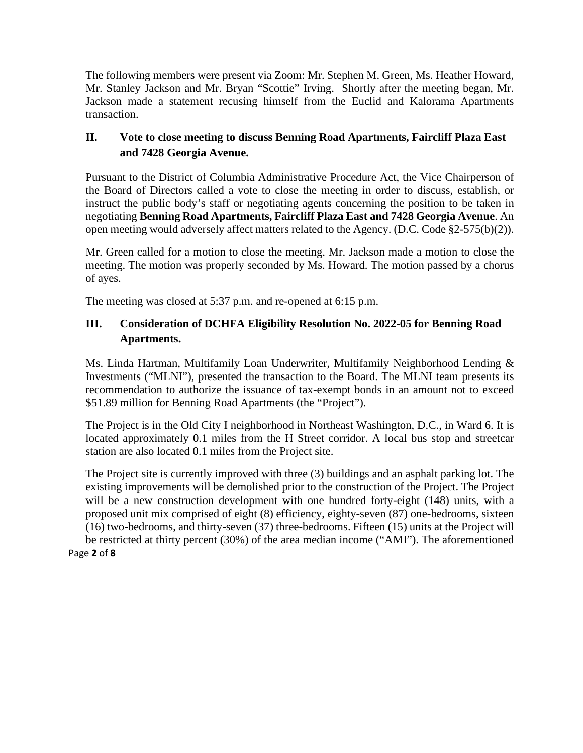The following members were present via Zoom: Mr. Stephen M. Green, Ms. Heather Howard, Mr. Stanley Jackson and Mr. Bryan "Scottie" Irving. Shortly after the meeting began, Mr. Jackson made a statement recusing himself from the Euclid and Kalorama Apartments transaction.

# **II. Vote to close meeting to discuss Benning Road Apartments, Faircliff Plaza East and 7428 Georgia Avenue.**

Pursuant to the District of Columbia Administrative Procedure Act, the Vice Chairperson of the Board of Directors called a vote to close the meeting in order to discuss, establish, or instruct the public body's staff or negotiating agents concerning the position to be taken in negotiating **Benning Road Apartments, Faircliff Plaza East and 7428 Georgia Avenue**. An open meeting would adversely affect matters related to the Agency. (D.C. Code §2-575(b)(2)).

Mr. Green called for a motion to close the meeting. Mr. Jackson made a motion to close the meeting. The motion was properly seconded by Ms. Howard. The motion passed by a chorus of ayes.

The meeting was closed at 5:37 p.m. and re-opened at 6:15 p.m.

# **III. Consideration of DCHFA Eligibility Resolution No. 2022-05 for Benning Road Apartments.**

Ms. Linda Hartman, Multifamily Loan Underwriter, Multifamily Neighborhood Lending & Investments ("MLNI"), presented the transaction to the Board. The MLNI team presents its recommendation to authorize the issuance of tax-exempt bonds in an amount not to exceed \$51.89 million for Benning Road Apartments (the "Project").

The Project is in the Old City I neighborhood in Northeast Washington, D.C., in Ward 6. It is located approximately 0.1 miles from the H Street corridor. A local bus stop and streetcar station are also located 0.1 miles from the Project site.

Page **2** of **8** The Project site is currently improved with three (3) buildings and an asphalt parking lot. The existing improvements will be demolished prior to the construction of the Project. The Project will be a new construction development with one hundred forty-eight (148) units, with a proposed unit mix comprised of eight (8) efficiency, eighty-seven (87) one-bedrooms, sixteen (16) two-bedrooms, and thirty-seven (37) three-bedrooms. Fifteen (15) units at the Project will be restricted at thirty percent (30%) of the area median income ("AMI"). The aforementioned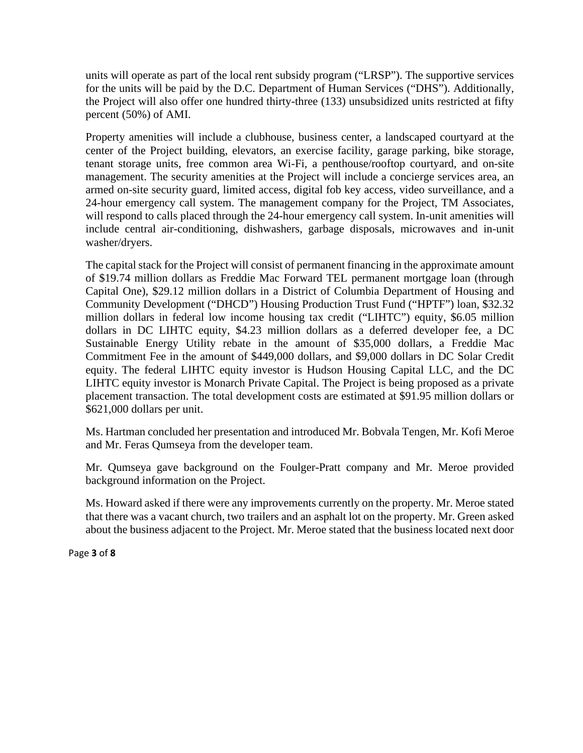units will operate as part of the local rent subsidy program ("LRSP"). The supportive services for the units will be paid by the D.C. Department of Human Services ("DHS"). Additionally, the Project will also offer one hundred thirty-three (133) unsubsidized units restricted at fifty percent (50%) of AMI.

Property amenities will include a clubhouse, business center, a landscaped courtyard at the center of the Project building, elevators, an exercise facility, garage parking, bike storage, tenant storage units, free common area Wi-Fi, a penthouse/rooftop courtyard, and on-site management. The security amenities at the Project will include a concierge services area, an armed on-site security guard, limited access, digital fob key access, video surveillance, and a 24-hour emergency call system. The management company for the Project, TM Associates, will respond to calls placed through the 24-hour emergency call system. In-unit amenities will include central air-conditioning, dishwashers, garbage disposals, microwaves and in-unit washer/dryers.

The capital stack for the Project will consist of permanent financing in the approximate amount of \$19.74 million dollars as Freddie Mac Forward TEL permanent mortgage loan (through Capital One), \$29.12 million dollars in a District of Columbia Department of Housing and Community Development ("DHCD") Housing Production Trust Fund ("HPTF") loan, \$32.32 million dollars in federal low income housing tax credit ("LIHTC") equity, \$6.05 million dollars in DC LIHTC equity, \$4.23 million dollars as a deferred developer fee, a DC Sustainable Energy Utility rebate in the amount of \$35,000 dollars, a Freddie Mac Commitment Fee in the amount of \$449,000 dollars, and \$9,000 dollars in DC Solar Credit equity. The federal LIHTC equity investor is Hudson Housing Capital LLC, and the DC LIHTC equity investor is Monarch Private Capital. The Project is being proposed as a private placement transaction. The total development costs are estimated at \$91.95 million dollars or \$621,000 dollars per unit.

Ms. Hartman concluded her presentation and introduced Mr. Bobvala Tengen, Mr. Kofi Meroe and Mr. Feras Qumseya from the developer team.

Mr. Qumseya gave background on the Foulger-Pratt company and Mr. Meroe provided background information on the Project.

Ms. Howard asked if there were any improvements currently on the property. Mr. Meroe stated that there was a vacant church, two trailers and an asphalt lot on the property. Mr. Green asked about the business adjacent to the Project. Mr. Meroe stated that the business located next door

Page **3** of **8**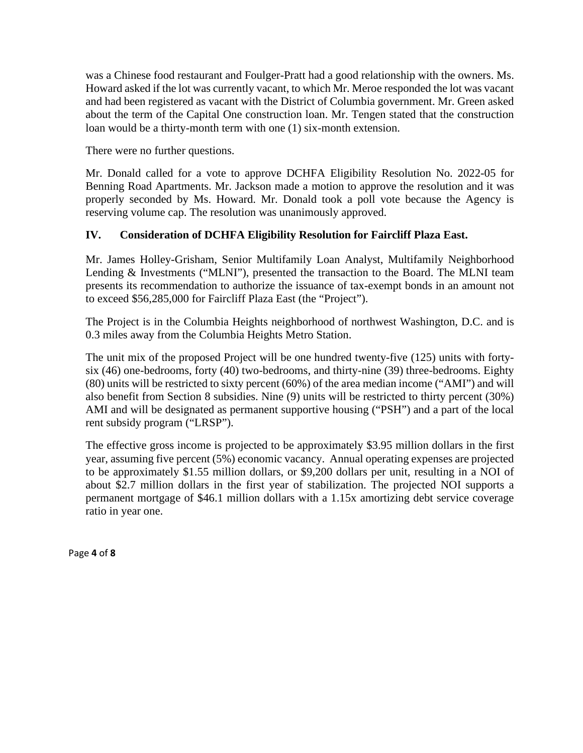was a Chinese food restaurant and Foulger-Pratt had a good relationship with the owners. Ms. Howard asked if the lot was currently vacant, to which Mr. Meroe responded the lot was vacant and had been registered as vacant with the District of Columbia government. Mr. Green asked about the term of the Capital One construction loan. Mr. Tengen stated that the construction loan would be a thirty-month term with one (1) six-month extension.

There were no further questions.

Mr. Donald called for a vote to approve DCHFA Eligibility Resolution No. 2022-05 for Benning Road Apartments. Mr. Jackson made a motion to approve the resolution and it was properly seconded by Ms. Howard. Mr. Donald took a poll vote because the Agency is reserving volume cap. The resolution was unanimously approved.

## **IV. Consideration of DCHFA Eligibility Resolution for Faircliff Plaza East.**

Mr. James Holley-Grisham, Senior Multifamily Loan Analyst, Multifamily Neighborhood Lending & Investments ("MLNI"), presented the transaction to the Board. The MLNI team presents its recommendation to authorize the issuance of tax-exempt bonds in an amount not to exceed \$56,285,000 for Faircliff Plaza East (the "Project").

The Project is in the Columbia Heights neighborhood of northwest Washington, D.C. and is 0.3 miles away from the Columbia Heights Metro Station.

The unit mix of the proposed Project will be one hundred twenty-five (125) units with fortysix (46) one-bedrooms, forty (40) two-bedrooms, and thirty-nine (39) three-bedrooms. Eighty (80) units will be restricted to sixty percent (60%) of the area median income ("AMI") and will also benefit from Section 8 subsidies. Nine (9) units will be restricted to thirty percent (30%) AMI and will be designated as permanent supportive housing ("PSH") and a part of the local rent subsidy program ("LRSP").

The effective gross income is projected to be approximately \$3.95 million dollars in the first year, assuming five percent (5%) economic vacancy. Annual operating expenses are projected to be approximately \$1.55 million dollars, or \$9,200 dollars per unit, resulting in a NOI of about \$2.7 million dollars in the first year of stabilization. The projected NOI supports a permanent mortgage of \$46.1 million dollars with a 1.15x amortizing debt service coverage ratio in year one.

Page **4** of **8**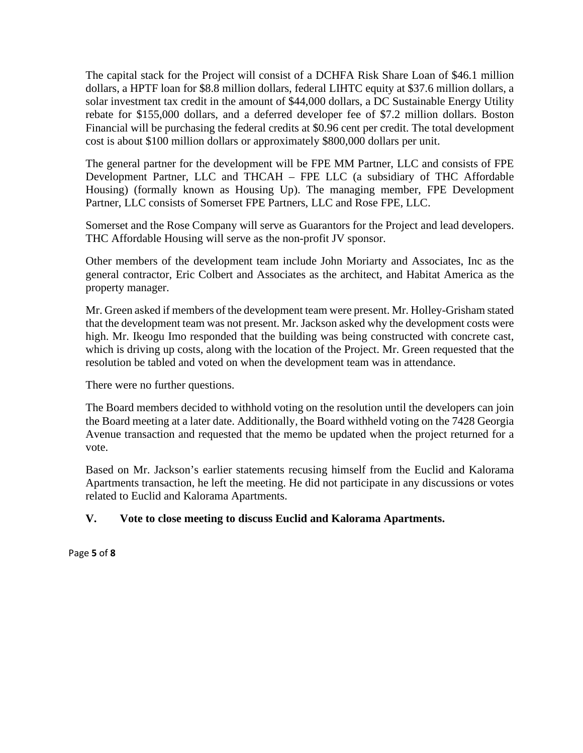The capital stack for the Project will consist of a DCHFA Risk Share Loan of \$46.1 million dollars, a HPTF loan for \$8.8 million dollars, federal LIHTC equity at \$37.6 million dollars, a solar investment tax credit in the amount of \$44,000 dollars, a DC Sustainable Energy Utility rebate for \$155,000 dollars, and a deferred developer fee of \$7.2 million dollars. Boston Financial will be purchasing the federal credits at \$0.96 cent per credit. The total development cost is about \$100 million dollars or approximately \$800,000 dollars per unit.

The general partner for the development will be FPE MM Partner, LLC and consists of FPE Development Partner, LLC and THCAH – FPE LLC (a subsidiary of THC Affordable Housing) (formally known as Housing Up). The managing member, FPE Development Partner, LLC consists of Somerset FPE Partners, LLC and Rose FPE, LLC.

Somerset and the Rose Company will serve as Guarantors for the Project and lead developers. THC Affordable Housing will serve as the non-profit JV sponsor.

Other members of the development team include John Moriarty and Associates, Inc as the general contractor, Eric Colbert and Associates as the architect, and Habitat America as the property manager.

Mr. Green asked if members of the development team were present. Mr. Holley-Grisham stated that the development team was not present. Mr. Jackson asked why the development costs were high. Mr. Ikeogu Imo responded that the building was being constructed with concrete cast, which is driving up costs, along with the location of the Project. Mr. Green requested that the resolution be tabled and voted on when the development team was in attendance.

There were no further questions.

The Board members decided to withhold voting on the resolution until the developers can join the Board meeting at a later date. Additionally, the Board withheld voting on the 7428 Georgia Avenue transaction and requested that the memo be updated when the project returned for a vote.

Based on Mr. Jackson's earlier statements recusing himself from the Euclid and Kalorama Apartments transaction, he left the meeting. He did not participate in any discussions or votes related to Euclid and Kalorama Apartments.

### **V. Vote to close meeting to discuss Euclid and Kalorama Apartments.**

Page **5** of **8**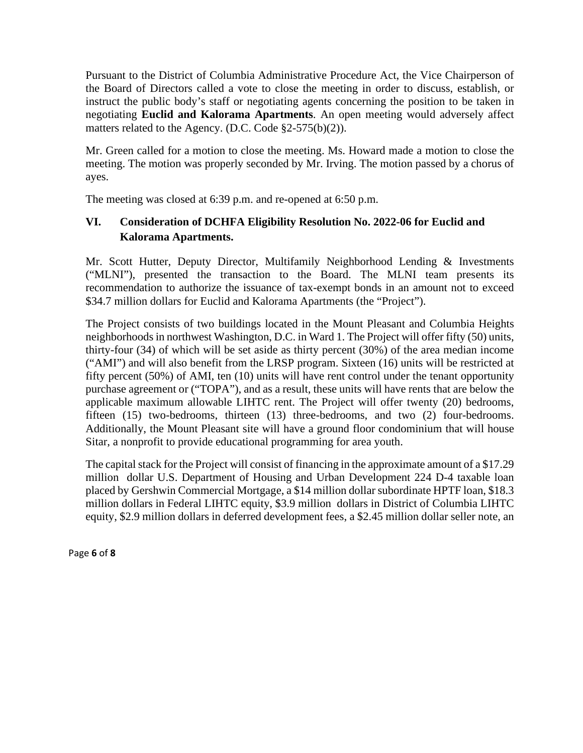Pursuant to the District of Columbia Administrative Procedure Act, the Vice Chairperson of the Board of Directors called a vote to close the meeting in order to discuss, establish, or instruct the public body's staff or negotiating agents concerning the position to be taken in negotiating **Euclid and Kalorama Apartments**. An open meeting would adversely affect matters related to the Agency. (D.C. Code §2-575(b)(2)).

Mr. Green called for a motion to close the meeting. Ms. Howard made a motion to close the meeting. The motion was properly seconded by Mr. Irving. The motion passed by a chorus of ayes.

The meeting was closed at 6:39 p.m. and re-opened at 6:50 p.m.

# **VI. Consideration of DCHFA Eligibility Resolution No. 2022-06 for Euclid and Kalorama Apartments.**

Mr. Scott Hutter, Deputy Director, Multifamily Neighborhood Lending & Investments ("MLNI"), presented the transaction to the Board. The MLNI team presents its recommendation to authorize the issuance of tax-exempt bonds in an amount not to exceed \$34.7 million dollars for Euclid and Kalorama Apartments (the "Project").

The Project consists of two buildings located in the Mount Pleasant and Columbia Heights neighborhoods in northwest Washington, D.C. in Ward 1. The Project will offer fifty (50) units, thirty-four (34) of which will be set aside as thirty percent (30%) of the area median income ("AMI") and will also benefit from the LRSP program. Sixteen (16) units will be restricted at fifty percent (50%) of AMI, ten (10) units will have rent control under the tenant opportunity purchase agreement or ("TOPA"), and as a result, these units will have rents that are below the applicable maximum allowable LIHTC rent. The Project will offer twenty (20) bedrooms, fifteen (15) two-bedrooms, thirteen (13) three-bedrooms, and two (2) four-bedrooms. Additionally, the Mount Pleasant site will have a ground floor condominium that will house Sitar, a nonprofit to provide educational programming for area youth.

The capital stack for the Project will consist of financing in the approximate amount of a \$17.29 million dollar U.S. Department of Housing and Urban Development 224 D-4 taxable loan placed by Gershwin Commercial Mortgage, a \$14 million dollar subordinate HPTF loan, \$18.3 million dollars in Federal LIHTC equity, \$3.9 million dollars in District of Columbia LIHTC equity, \$2.9 million dollars in deferred development fees, a \$2.45 million dollar seller note, an

Page **6** of **8**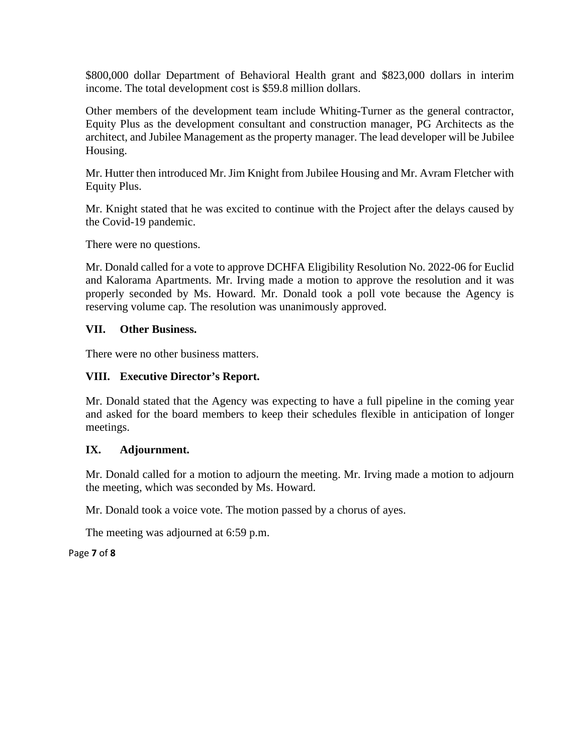\$800,000 dollar Department of Behavioral Health grant and \$823,000 dollars in interim income. The total development cost is \$59.8 million dollars.

Other members of the development team include Whiting-Turner as the general contractor, Equity Plus as the development consultant and construction manager, PG Architects as the architect, and Jubilee Management as the property manager. The lead developer will be Jubilee Housing.

Mr. Hutter then introduced Mr. Jim Knight from Jubilee Housing and Mr. Avram Fletcher with Equity Plus.

Mr. Knight stated that he was excited to continue with the Project after the delays caused by the Covid-19 pandemic.

There were no questions.

Mr. Donald called for a vote to approve DCHFA Eligibility Resolution No. 2022-06 for Euclid and Kalorama Apartments. Mr. Irving made a motion to approve the resolution and it was properly seconded by Ms. Howard. Mr. Donald took a poll vote because the Agency is reserving volume cap. The resolution was unanimously approved.

### **VII. Other Business.**

There were no other business matters.

### **VIII. Executive Director's Report.**

Mr. Donald stated that the Agency was expecting to have a full pipeline in the coming year and asked for the board members to keep their schedules flexible in anticipation of longer meetings.

### **IX. Adjournment.**

Mr. Donald called for a motion to adjourn the meeting. Mr. Irving made a motion to adjourn the meeting, which was seconded by Ms. Howard.

Mr. Donald took a voice vote. The motion passed by a chorus of ayes.

The meeting was adjourned at 6:59 p.m.

Page **7** of **8**